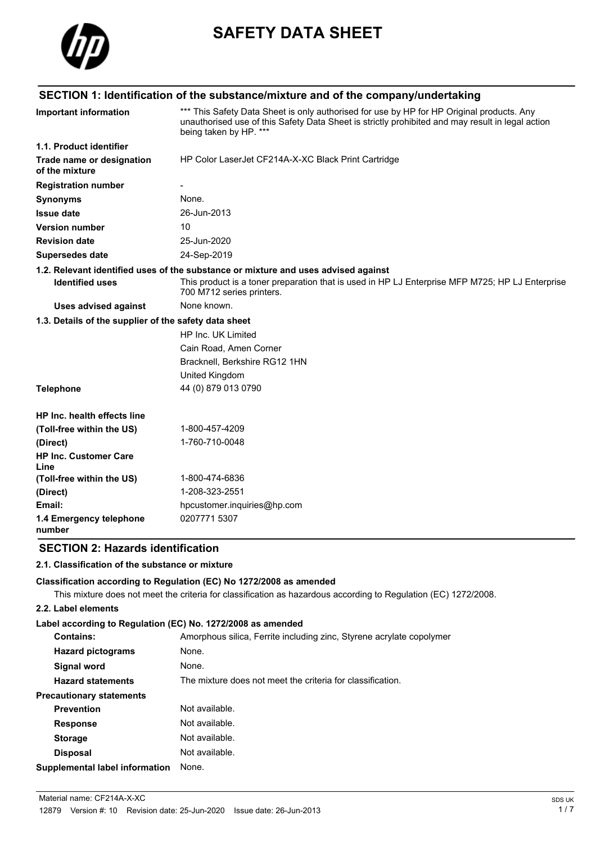

# **SAFETY DATA SHEET**

## **SECTION 1: Identification of the substance/mixture and of the company/undertaking**

| <b>Important information</b>                          | *** This Safety Data Sheet is only authorised for use by HP for HP Original products. Any<br>unauthorised use of this Safety Data Sheet is strictly prohibited and may result in legal action<br>being taken by HP. *** |  |  |
|-------------------------------------------------------|-------------------------------------------------------------------------------------------------------------------------------------------------------------------------------------------------------------------------|--|--|
| 1.1. Product identifier                               |                                                                                                                                                                                                                         |  |  |
| Trade name or designation<br>of the mixture           | HP Color LaserJet CF214A-X-XC Black Print Cartridge                                                                                                                                                                     |  |  |
| <b>Registration number</b>                            |                                                                                                                                                                                                                         |  |  |
| <b>Synonyms</b>                                       | None.                                                                                                                                                                                                                   |  |  |
| <b>Issue date</b>                                     | 26-Jun-2013                                                                                                                                                                                                             |  |  |
| <b>Version number</b>                                 | 10                                                                                                                                                                                                                      |  |  |
| <b>Revision date</b>                                  | 25-Jun-2020                                                                                                                                                                                                             |  |  |
| <b>Supersedes date</b>                                | 24-Sep-2019                                                                                                                                                                                                             |  |  |
|                                                       | 1.2. Relevant identified uses of the substance or mixture and uses advised against                                                                                                                                      |  |  |
| <b>Identified uses</b>                                | This product is a toner preparation that is used in HP LJ Enterprise MFP M725; HP LJ Enterprise<br>700 M712 series printers.                                                                                            |  |  |
| <b>Uses advised against</b>                           | None known.                                                                                                                                                                                                             |  |  |
| 1.3. Details of the supplier of the safety data sheet |                                                                                                                                                                                                                         |  |  |
|                                                       | HP Inc. UK Limited                                                                                                                                                                                                      |  |  |
|                                                       | Cain Road, Amen Corner                                                                                                                                                                                                  |  |  |
|                                                       | Bracknell, Berkshire RG12 1HN                                                                                                                                                                                           |  |  |
|                                                       | United Kingdom                                                                                                                                                                                                          |  |  |
| <b>Telephone</b>                                      | 44 (0) 879 013 0790                                                                                                                                                                                                     |  |  |
| HP Inc. health effects line                           |                                                                                                                                                                                                                         |  |  |
| (Toll-free within the US)                             | 1-800-457-4209                                                                                                                                                                                                          |  |  |
| (Direct)                                              | 1-760-710-0048                                                                                                                                                                                                          |  |  |
| <b>HP Inc. Customer Care</b><br>Line                  |                                                                                                                                                                                                                         |  |  |
| (Toll-free within the US)                             | 1-800-474-6836                                                                                                                                                                                                          |  |  |
| (Direct)                                              | 1-208-323-2551                                                                                                                                                                                                          |  |  |
| Email:                                                | hpcustomer.inquiries@hp.com                                                                                                                                                                                             |  |  |
| 1.4 Emergency telephone<br>number                     | 0207771 5307                                                                                                                                                                                                            |  |  |

## **SECTION 2: Hazards identification**

#### **2.1. Classification of the substance or mixture**

#### **Classification according to Regulation (EC) No 1272/2008 as amended**

This mixture does not meet the criteria for classification as hazardous according to Regulation (EC) 1272/2008.

#### **2.2. Label elements**

#### **Label according to Regulation (EC) No. 1272/2008 as amended**

| <b>Contains:</b>                      | Amorphous silica, Ferrite including zinc, Styrene acrylate copolymer |
|---------------------------------------|----------------------------------------------------------------------|
| <b>Hazard pictograms</b>              | None.                                                                |
| Signal word                           | None.                                                                |
| <b>Hazard statements</b>              | The mixture does not meet the criteria for classification.           |
| <b>Precautionary statements</b>       |                                                                      |
| <b>Prevention</b>                     | Not available.                                                       |
| <b>Response</b>                       | Not available.                                                       |
| <b>Storage</b>                        | Not available.                                                       |
| <b>Disposal</b>                       | Not available.                                                       |
| <b>Supplemental label information</b> | None.                                                                |
|                                       |                                                                      |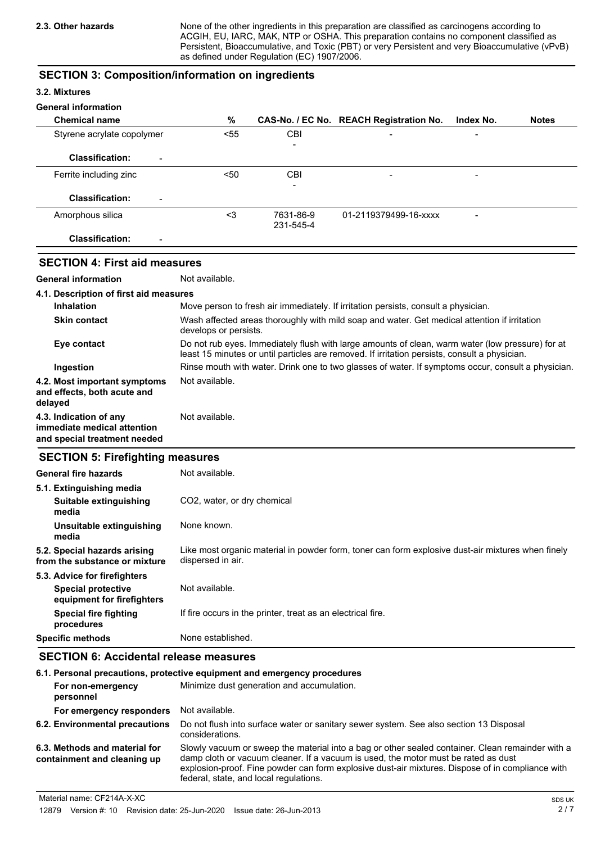None of the other ingredients in this preparation are classified as carcinogens according to ACGIH, EU, IARC, MAK, NTP or OSHA. This preparation contains no component classified as Persistent, Bioaccumulative, and Toxic (PBT) or very Persistent and very Bioaccumulative (vPvB) as defined under Regulation (EC) 1907/2006.

#### **SECTION 3: Composition/information on ingredients**

#### **3.2. Mixtures**

#### **General information**

| <b>Chemical name</b>                               | %    |                          | CAS-No. / EC No. REACH Registration No. | Index No.                | <b>Notes</b> |
|----------------------------------------------------|------|--------------------------|-----------------------------------------|--------------------------|--------------|
| Styrene acrylate copolymer                         | < 55 | CBI                      | $\qquad \qquad$                         | $\overline{\phantom{a}}$ |              |
|                                                    |      | $\overline{\phantom{a}}$ |                                         |                          |              |
| <b>Classification:</b><br>$\overline{\phantom{a}}$ |      |                          |                                         |                          |              |
| Ferrite including zinc                             | $50$ | <b>CBI</b>               | $\overline{\phantom{a}}$                | $\overline{\phantom{a}}$ |              |
|                                                    |      | ۰                        |                                         |                          |              |
| <b>Classification:</b><br>$\overline{\phantom{a}}$ |      |                          |                                         |                          |              |
| Amorphous silica                                   | <3   | 7631-86-9                | 01-2119379499-16-xxxx                   | -                        |              |
|                                                    |      | 231-545-4                |                                         |                          |              |
| <b>Classification:</b><br>$\overline{\phantom{0}}$ |      |                          |                                         |                          |              |

## **SECTION 4: First aid measures**

**General information** Not available.

| 4.1. Description of first aid measures                                                |                                                                                                                                                                                                   |  |  |
|---------------------------------------------------------------------------------------|---------------------------------------------------------------------------------------------------------------------------------------------------------------------------------------------------|--|--|
| <b>Inhalation</b>                                                                     | Move person to fresh air immediately. If irritation persists, consult a physician.                                                                                                                |  |  |
| <b>Skin contact</b>                                                                   | Wash affected areas thoroughly with mild soap and water. Get medical attention if irritation<br>develops or persists.                                                                             |  |  |
| Eye contact                                                                           | Do not rub eyes. Immediately flush with large amounts of clean, warm water (low pressure) for at<br>least 15 minutes or until particles are removed. If irritation persists, consult a physician. |  |  |
| Ingestion                                                                             | Rinse mouth with water. Drink one to two glasses of water. If symptoms occur, consult a physician.                                                                                                |  |  |
| 4.2. Most important symptoms<br>and effects, both acute and<br>delayed                | Not available.                                                                                                                                                                                    |  |  |
| 4.3. Indication of any<br>immediate medical attention<br>and special treatment needed | Not available.                                                                                                                                                                                    |  |  |

#### **SECTION 5: Firefighting measures**

| Not available.                                                                                                         |
|------------------------------------------------------------------------------------------------------------------------|
|                                                                                                                        |
| CO2, water, or dry chemical                                                                                            |
| None known.                                                                                                            |
| Like most organic material in powder form, toner can form explosive dust-air mixtures when finely<br>dispersed in air. |
|                                                                                                                        |
| Not available.                                                                                                         |
| If fire occurs in the printer, treat as an electrical fire.                                                            |
| None established.                                                                                                      |
|                                                                                                                        |

## **SECTION 6: Accidental release measures**

| 6.1. Personal precautions, protective equipment and emergency procedures |                                                                                                                                                                                                                                                                                                                                      |  |  |
|--------------------------------------------------------------------------|--------------------------------------------------------------------------------------------------------------------------------------------------------------------------------------------------------------------------------------------------------------------------------------------------------------------------------------|--|--|
| For non-emergency<br>personnel                                           | Minimize dust generation and accumulation.                                                                                                                                                                                                                                                                                           |  |  |
| For emergency responders                                                 | Not available.                                                                                                                                                                                                                                                                                                                       |  |  |
| 6.2. Environmental precautions                                           | Do not flush into surface water or sanitary sewer system. See also section 13 Disposal<br>considerations.                                                                                                                                                                                                                            |  |  |
| 6.3. Methods and material for<br>containment and cleaning up             | Slowly vacuum or sweep the material into a bag or other sealed container. Clean remainder with a<br>damp cloth or vacuum cleaner. If a vacuum is used, the motor must be rated as dust<br>explosion-proof. Fine powder can form explosive dust-air mixtures. Dispose of in compliance with<br>federal, state, and local regulations. |  |  |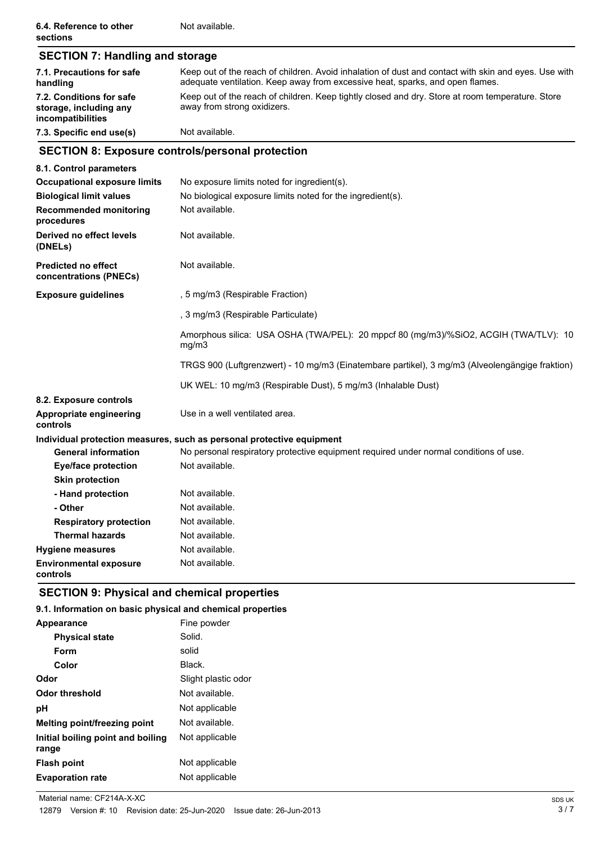| <b>SECTION 7: Handling and storage</b>                                  |                                                                                                                                                                                       |  |  |  |
|-------------------------------------------------------------------------|---------------------------------------------------------------------------------------------------------------------------------------------------------------------------------------|--|--|--|
| 7.1. Precautions for safe<br>handling                                   | Keep out of the reach of children. Avoid inhalation of dust and contact with skin and eyes. Use with<br>adequate ventilation. Keep away from excessive heat, sparks, and open flames. |  |  |  |
| 7.2. Conditions for safe<br>storage, including any<br>incompatibilities | Keep out of the reach of children. Keep tightly closed and dry. Store at room temperature. Store<br>away from strong oxidizers.<br>Not available.                                     |  |  |  |
| 7.3. Specific end use(s)                                                |                                                                                                                                                                                       |  |  |  |
|                                                                         | <b>SECTION 8: Exposure controls/personal protection</b>                                                                                                                               |  |  |  |
| 8.1. Control parameters                                                 |                                                                                                                                                                                       |  |  |  |
| <b>Occupational exposure limits</b>                                     | No exposure limits noted for ingredient(s).                                                                                                                                           |  |  |  |
| <b>Biological limit values</b>                                          | No biological exposure limits noted for the ingredient(s).                                                                                                                            |  |  |  |
| <b>Recommended monitoring</b><br>procedures                             | Not available.                                                                                                                                                                        |  |  |  |
| Derived no effect levels<br>(DNELs)                                     | Not available.                                                                                                                                                                        |  |  |  |
| <b>Predicted no effect</b><br>concentrations (PNECs)                    | Not available.                                                                                                                                                                        |  |  |  |
| <b>Exposure guidelines</b>                                              | , 5 mg/m3 (Respirable Fraction)                                                                                                                                                       |  |  |  |
|                                                                         | , 3 mg/m3 (Respirable Particulate)                                                                                                                                                    |  |  |  |
|                                                                         | Amorphous silica: USA OSHA (TWA/PEL): 20 mppcf 80 (mg/m3)/%SiO2, ACGIH (TWA/TLV): 10<br>mg/m3                                                                                         |  |  |  |
|                                                                         | TRGS 900 (Luftgrenzwert) - 10 mg/m3 (Einatembare partikel), 3 mg/m3 (Alveolengängige fraktion)                                                                                        |  |  |  |
|                                                                         | UK WEL: 10 mg/m3 (Respirable Dust), 5 mg/m3 (Inhalable Dust)                                                                                                                          |  |  |  |
| 8.2. Exposure controls                                                  |                                                                                                                                                                                       |  |  |  |
| Appropriate engineering<br>controls                                     | Use in a well ventilated area.                                                                                                                                                        |  |  |  |
|                                                                         | Individual protection measures, such as personal protective equipment                                                                                                                 |  |  |  |
| <b>General information</b>                                              | No personal respiratory protective equipment required under normal conditions of use.                                                                                                 |  |  |  |
| <b>Eye/face protection</b>                                              | Not available.                                                                                                                                                                        |  |  |  |
| <b>Skin protection</b>                                                  |                                                                                                                                                                                       |  |  |  |
| - Hand protection                                                       | Not available.                                                                                                                                                                        |  |  |  |
| - Other                                                                 | Not available.                                                                                                                                                                        |  |  |  |
| <b>Respiratory protection</b>                                           | Not available.                                                                                                                                                                        |  |  |  |
| <b>Thermal hazards</b>                                                  | Not available.                                                                                                                                                                        |  |  |  |
| <b>Hygiene measures</b>                                                 | Not available.                                                                                                                                                                        |  |  |  |
| <b>Environmental exposure</b><br>controls                               | Not available.                                                                                                                                                                        |  |  |  |

## **SECTION 9: Physical and chemical properties**

## **9.1. Information on basic physical and chemical properties**

| Appearance                                 | Fine powder         |
|--------------------------------------------|---------------------|
| <b>Physical state</b>                      | Solid.              |
| Form                                       | solid               |
| Color                                      | Black.              |
| Odor                                       | Slight plastic odor |
| <b>Odor threshold</b>                      | Not available.      |
| рH                                         | Not applicable      |
| <b>Melting point/freezing point</b>        | Not available.      |
| Initial boiling point and boiling<br>range | Not applicable      |
| <b>Flash point</b>                         | Not applicable      |
| <b>Evaporation rate</b>                    | Not applicable      |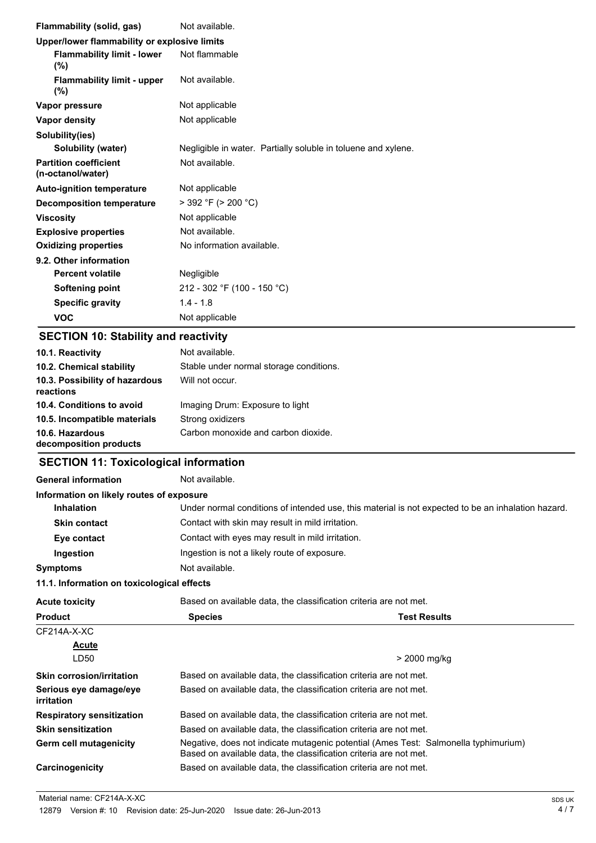| Flammability (solid, gas)                         | Not available.                                                                                                                                           |  |  |
|---------------------------------------------------|----------------------------------------------------------------------------------------------------------------------------------------------------------|--|--|
| Upper/lower flammability or explosive limits      |                                                                                                                                                          |  |  |
| <b>Flammability limit - lower</b><br>(%)          | Not flammable                                                                                                                                            |  |  |
| <b>Flammability limit - upper</b><br>(%)          | Not available.                                                                                                                                           |  |  |
| Vapor pressure                                    | Not applicable                                                                                                                                           |  |  |
| <b>Vapor density</b>                              | Not applicable                                                                                                                                           |  |  |
| Solubility(ies)                                   |                                                                                                                                                          |  |  |
| Solubility (water)                                | Negligible in water. Partially soluble in toluene and xylene.                                                                                            |  |  |
| <b>Partition coefficient</b><br>(n-octanol/water) | Not available.                                                                                                                                           |  |  |
| <b>Auto-ignition temperature</b>                  | Not applicable                                                                                                                                           |  |  |
| <b>Decomposition temperature</b>                  | $>$ 392 °F ( $>$ 200 °C)                                                                                                                                 |  |  |
| <b>Viscosity</b>                                  | Not applicable                                                                                                                                           |  |  |
| <b>Explosive properties</b>                       | Not available.                                                                                                                                           |  |  |
| <b>Oxidizing properties</b>                       | No information available.                                                                                                                                |  |  |
| 9.2. Other information                            |                                                                                                                                                          |  |  |
| <b>Percent volatile</b>                           | Negligible                                                                                                                                               |  |  |
| <b>Softening point</b>                            | 212 - 302 °F (100 - 150 °C)                                                                                                                              |  |  |
| <b>Specific gravity</b>                           | $1.4 - 1.8$                                                                                                                                              |  |  |
| <b>VOC</b>                                        | Not applicable                                                                                                                                           |  |  |
| <b>SECTION 10: Stability and reactivity</b>       |                                                                                                                                                          |  |  |
| 10.1. Reactivity                                  | Not available.                                                                                                                                           |  |  |
| 10.2. Chemical stability                          | Stable under normal storage conditions.                                                                                                                  |  |  |
| 10.3. Possibility of hazardous<br>reactions       | Will not occur.                                                                                                                                          |  |  |
| 10.4. Conditions to avoid                         | Imaging Drum: Exposure to light                                                                                                                          |  |  |
| 10.5. Incompatible materials                      | Strong oxidizers                                                                                                                                         |  |  |
| 10.6. Hazardous<br>decomposition products         | Carbon monoxide and carbon dioxide.                                                                                                                      |  |  |
| <b>SECTION 11: Toxicological information</b>      |                                                                                                                                                          |  |  |
| <b>General information</b>                        | Not available.                                                                                                                                           |  |  |
| Information on likely routes of exposure          |                                                                                                                                                          |  |  |
| <b>Inhalation</b>                                 | Under normal conditions of intended use, this material is not expected to be an inhalation hazard.                                                       |  |  |
| <b>Skin contact</b>                               | Contact with skin may result in mild irritation.                                                                                                         |  |  |
| Eye contact                                       | Contact with eyes may result in mild irritation.                                                                                                         |  |  |
| Ingestion                                         | Ingestion is not a likely route of exposure.                                                                                                             |  |  |
| <b>Symptoms</b>                                   | Not available.                                                                                                                                           |  |  |
| 11.1. Information on toxicological effects        |                                                                                                                                                          |  |  |
| <b>Acute toxicity</b>                             | Based on available data, the classification criteria are not met.                                                                                        |  |  |
| <b>Product</b>                                    | <b>Species</b><br><b>Test Results</b>                                                                                                                    |  |  |
| CF214A-X-XC                                       |                                                                                                                                                          |  |  |
| <u>Acute</u>                                      |                                                                                                                                                          |  |  |
| LD <sub>50</sub>                                  | > 2000 mg/kg                                                                                                                                             |  |  |
| <b>Skin corrosion/irritation</b>                  | Based on available data, the classification criteria are not met.                                                                                        |  |  |
| Serious eye damage/eye<br><b>irritation</b>       | Based on available data, the classification criteria are not met.                                                                                        |  |  |
| <b>Respiratory sensitization</b>                  | Based on available data, the classification criteria are not met.                                                                                        |  |  |
| <b>Skin sensitization</b>                         | Based on available data, the classification criteria are not met.                                                                                        |  |  |
| Germ cell mutagenicity                            | Negative, does not indicate mutagenic potential (Ames Test: Salmonella typhimurium)<br>Based on available data, the classification criteria are not met. |  |  |
| Carcinogenicity                                   | Based on available data, the classification criteria are not met.                                                                                        |  |  |

Material name: CF214A-X-XC<br>
SDS UK SDS UNITED: THE SOS UNITED SOS UK<br>
12879 Version #: 10 Revision date: 25-Jun-2020 Issue date: 26-Jun-2013 12879 Version #: 10 Revision date: 25-Jun-2020 Issue date: 26-Jun-2013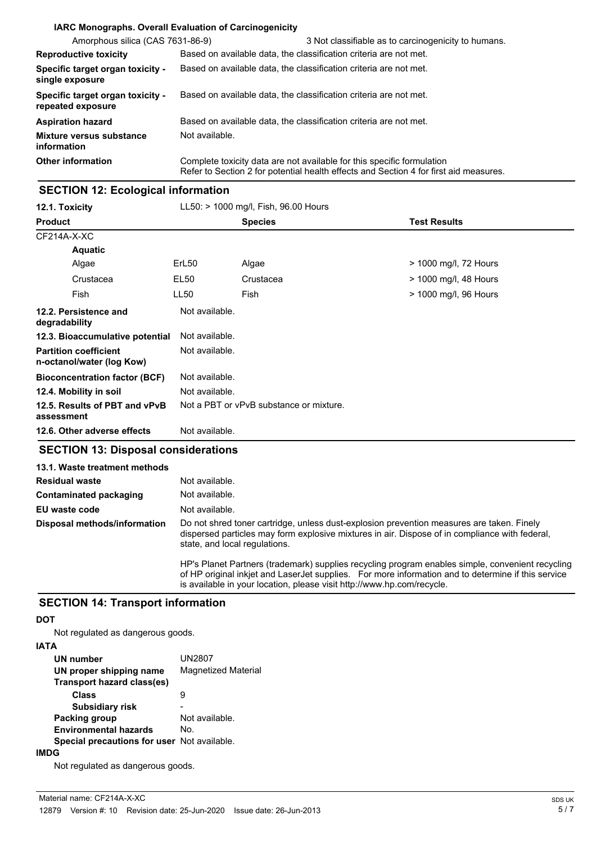|                                                       | <b>IARC Monographs. Overall Evaluation of Carcinogenicity</b>                                                                                                   |  |
|-------------------------------------------------------|-----------------------------------------------------------------------------------------------------------------------------------------------------------------|--|
| Amorphous silica (CAS 7631-86-9)                      | 3 Not classifiable as to carcinogenicity to humans.                                                                                                             |  |
| <b>Reproductive toxicity</b>                          | Based on available data, the classification criteria are not met.                                                                                               |  |
| Specific target organ toxicity -<br>single exposure   | Based on available data, the classification criteria are not met.                                                                                               |  |
| Specific target organ toxicity -<br>repeated exposure | Based on available data, the classification criteria are not met.                                                                                               |  |
| <b>Aspiration hazard</b>                              | Based on available data, the classification criteria are not met.                                                                                               |  |
| Mixture versus substance<br>information               | Not available.                                                                                                                                                  |  |
| <b>Other information</b>                              | Complete toxicity data are not available for this specific formulation<br>Refer to Section 2 for potential health effects and Section 4 for first aid measures. |  |

## **SECTION 12: Ecological information**

| 12.1. Toxicity                                            | LL50: > 1000 mg/l, Fish, 96.00 Hours |                                         |                       |
|-----------------------------------------------------------|--------------------------------------|-----------------------------------------|-----------------------|
| <b>Product</b>                                            |                                      | <b>Species</b>                          | <b>Test Results</b>   |
| CF214A-X-XC                                               |                                      |                                         |                       |
| <b>Aquatic</b>                                            |                                      |                                         |                       |
| Algae                                                     | ErL <sub>50</sub>                    | Algae                                   | > 1000 mg/l, 72 Hours |
| Crustacea                                                 | EL50                                 | Crustacea                               | > 1000 mg/l, 48 Hours |
| Fish                                                      | LL50                                 | Fish                                    | > 1000 mg/l, 96 Hours |
| 12.2. Persistence and<br>degradability                    | Not available.                       |                                         |                       |
| 12.3. Bioaccumulative potential                           | Not available.                       |                                         |                       |
| <b>Partition coefficient</b><br>n-octanol/water (log Kow) | Not available.                       |                                         |                       |
| <b>Bioconcentration factor (BCF)</b>                      | Not available.                       |                                         |                       |
| 12.4. Mobility in soil                                    | Not available.                       |                                         |                       |
| 12.5. Results of PBT and vPvB<br>assessment               |                                      | Not a PBT or vPvB substance or mixture. |                       |
| 12.6. Other adverse effects                               | Not available.                       |                                         |                       |

## **SECTION 13: Disposal considerations**

| 13.1. Waste treatment methods |                                                                                                                                                                                                                                                                                  |
|-------------------------------|----------------------------------------------------------------------------------------------------------------------------------------------------------------------------------------------------------------------------------------------------------------------------------|
| <b>Residual waste</b>         | Not available.                                                                                                                                                                                                                                                                   |
| Contaminated packaging        | Not available.                                                                                                                                                                                                                                                                   |
| EU waste code                 | Not available.                                                                                                                                                                                                                                                                   |
| Disposal methods/information  | Do not shred toner cartridge, unless dust-explosion prevention measures are taken. Finely<br>dispersed particles may form explosive mixtures in air. Dispose of in compliance with federal,<br>state, and local regulations.                                                     |
|                               | HP's Planet Partners (trademark) supplies recycling program enables simple, convenient recycling<br>of HP original inkiet and LaserJet supplies. For more information and to determine if this service<br>is available in your location, please visit http://www.hp.com/recycle. |

#### **SECTION 14: Transport information**

#### **DOT**

Not regulated as dangerous goods.

#### **IATA**

| UN number                                          | UN2807                     |
|----------------------------------------------------|----------------------------|
| UN proper shipping name                            | <b>Magnetized Material</b> |
| Transport hazard class(es)                         |                            |
| Class                                              | я                          |
| <b>Subsidiary risk</b>                             |                            |
| <b>Packing group</b>                               | Not available.             |
| <b>Environmental hazards</b>                       | No.                        |
| <b>Special precautions for user</b> Not available. |                            |
|                                                    |                            |

Not regulated as dangerous goods.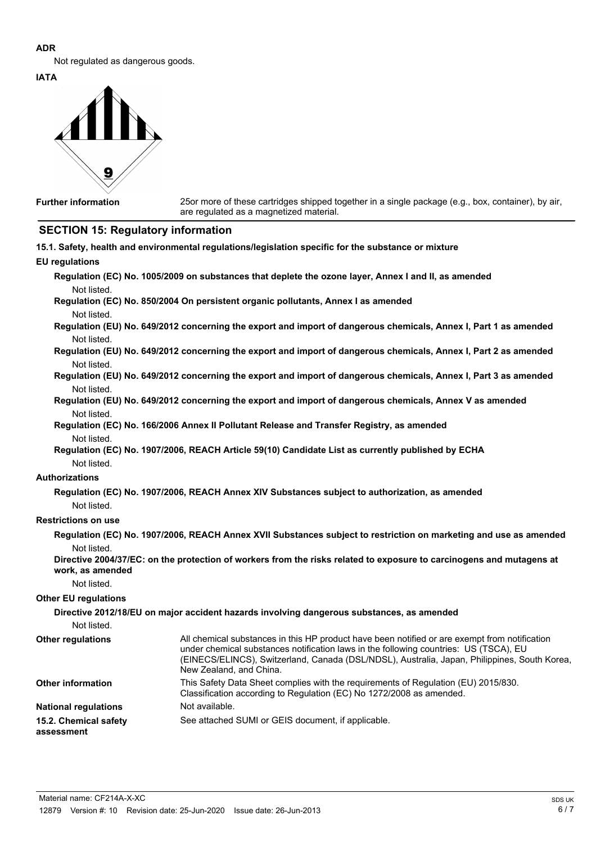#### **ADR**

Not regulated as dangerous goods.

**IATA**



**Further information**

25or more of these cartridges shipped together in a single package (e.g., box, container), by air, are regulated as a magnetized material.

## **SECTION 15: Regulatory information**

|                                     | 15.1. Safety, health and environmental regulations/legislation specific for the substance or mixture                                                                                                                                                                                                              |
|-------------------------------------|-------------------------------------------------------------------------------------------------------------------------------------------------------------------------------------------------------------------------------------------------------------------------------------------------------------------|
| <b>EU</b> regulations               |                                                                                                                                                                                                                                                                                                                   |
|                                     | Regulation (EC) No. 1005/2009 on substances that deplete the ozone layer, Annex I and II, as amended                                                                                                                                                                                                              |
| Not listed.                         |                                                                                                                                                                                                                                                                                                                   |
|                                     | Regulation (EC) No. 850/2004 On persistent organic pollutants, Annex I as amended                                                                                                                                                                                                                                 |
| Not listed.                         |                                                                                                                                                                                                                                                                                                                   |
|                                     | Regulation (EU) No. 649/2012 concerning the export and import of dangerous chemicals, Annex I, Part 1 as amended                                                                                                                                                                                                  |
| Not listed.                         | Regulation (EU) No. 649/2012 concerning the export and import of dangerous chemicals, Annex I, Part 2 as amended                                                                                                                                                                                                  |
| Not listed.                         |                                                                                                                                                                                                                                                                                                                   |
|                                     | Regulation (EU) No. 649/2012 concerning the export and import of dangerous chemicals, Annex I, Part 3 as amended                                                                                                                                                                                                  |
| Not listed.                         |                                                                                                                                                                                                                                                                                                                   |
|                                     | Regulation (EU) No. 649/2012 concerning the export and import of dangerous chemicals, Annex V as amended                                                                                                                                                                                                          |
| Not listed.                         | Regulation (EC) No. 166/2006 Annex II Pollutant Release and Transfer Registry, as amended                                                                                                                                                                                                                         |
|                                     |                                                                                                                                                                                                                                                                                                                   |
| Not listed.<br>Not listed.          | Regulation (EC) No. 1907/2006, REACH Article 59(10) Candidate List as currently published by ECHA                                                                                                                                                                                                                 |
| <b>Authorizations</b>               |                                                                                                                                                                                                                                                                                                                   |
|                                     | Regulation (EC) No. 1907/2006, REACH Annex XIV Substances subject to authorization, as amended                                                                                                                                                                                                                    |
| Not listed.                         |                                                                                                                                                                                                                                                                                                                   |
| <b>Restrictions on use</b>          |                                                                                                                                                                                                                                                                                                                   |
|                                     | Regulation (EC) No. 1907/2006, REACH Annex XVII Substances subject to restriction on marketing and use as amended                                                                                                                                                                                                 |
| Not listed.                         |                                                                                                                                                                                                                                                                                                                   |
|                                     | Directive 2004/37/EC: on the protection of workers from the risks related to exposure to carcinogens and mutagens at                                                                                                                                                                                              |
| work, as amended                    |                                                                                                                                                                                                                                                                                                                   |
| Not listed.                         |                                                                                                                                                                                                                                                                                                                   |
| <b>Other EU regulations</b>         |                                                                                                                                                                                                                                                                                                                   |
|                                     | Directive 2012/18/EU on major accident hazards involving dangerous substances, as amended                                                                                                                                                                                                                         |
| Not listed.                         |                                                                                                                                                                                                                                                                                                                   |
| <b>Other regulations</b>            | All chemical substances in this HP product have been notified or are exempt from notification<br>under chemical substances notification laws in the following countries: US (TSCA), EU<br>(EINECS/ELINCS), Switzerland, Canada (DSL/NDSL), Australia, Japan, Philippines, South Korea,<br>New Zealand, and China. |
| <b>Other information</b>            | This Safety Data Sheet complies with the requirements of Regulation (EU) 2015/830.<br>Classification according to Regulation (EC) No 1272/2008 as amended.                                                                                                                                                        |
| <b>National regulations</b>         | Not available.                                                                                                                                                                                                                                                                                                    |
| 15.2. Chemical safety<br>assessment | See attached SUMI or GEIS document, if applicable.                                                                                                                                                                                                                                                                |